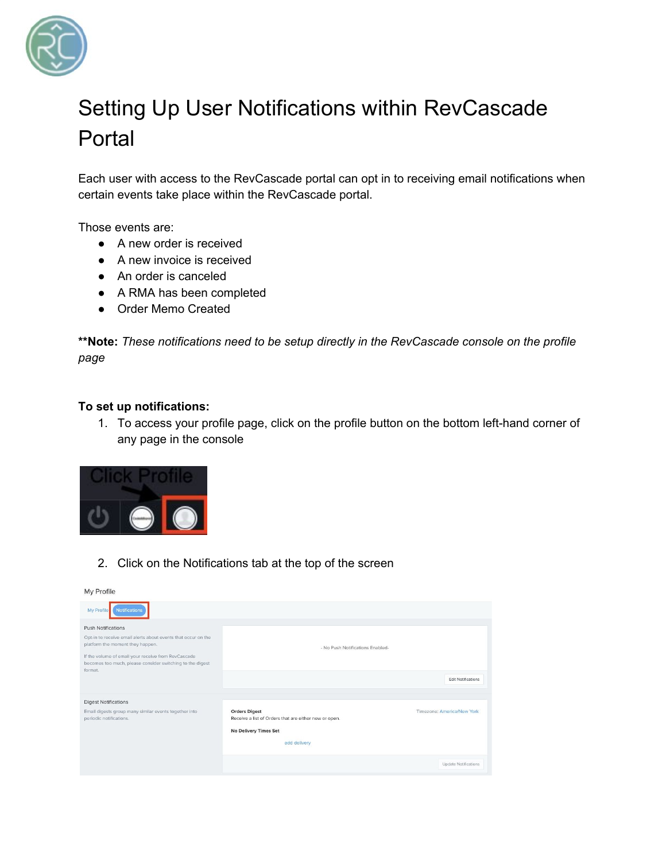

## Setting Up User Notifications within RevCascade Portal

Each user with access to the RevCascade portal can opt in to receiving email notifications when certain events take place within the RevCascade portal.

Those events are:

- A new order is received
- A new invoice is received
- An order is canceled
- A RMA has been completed
- Order Memo Created

**\*\*Note:** *These notifications need to be setup directly in the RevCascade console on the profile page*

## **To set up notifications:**

1. To access your profile page, click on the profile button on the bottom left-hand corner of any page in the console



2. Click on the Notifications tab at the top of the screen

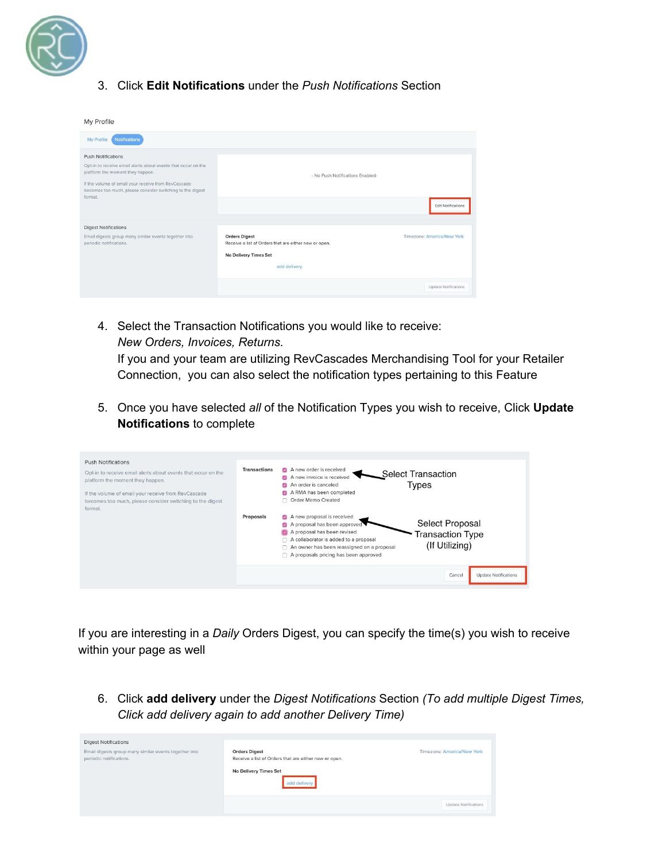

## 3. Click **Edit Notifications** under the *Push Notifications* Section

| My Profile                                                                                                                                                                                                                                                    |                                                                                                                               |                            |
|---------------------------------------------------------------------------------------------------------------------------------------------------------------------------------------------------------------------------------------------------------------|-------------------------------------------------------------------------------------------------------------------------------|----------------------------|
| <b>Notifications</b><br>My Profile                                                                                                                                                                                                                            |                                                                                                                               |                            |
| <b>Push Notifications</b><br>Opt-in to receive email alerts about events that occur on the<br>platform the moment they happen.<br>If the volume of email your receive from RevCascade<br>becomes too much, please consider switching to the digest<br>format. | - No Push Notifications Enabled-                                                                                              | <b>Edit Notifications</b>  |
| <b>Digest Notifications</b><br>Email digests group many similar events together into<br>periodic notifications.                                                                                                                                               | <b>Orders Digest</b><br>Receive a list of Orders that are either new or open.<br><b>No Delivery Times Set</b><br>add delivery | Timezone: America/New York |
|                                                                                                                                                                                                                                                               |                                                                                                                               | Update Notifications       |

4. Select the Transaction Notifications you would like to receive: *New Orders, Invoices, Returns.*

If you and your team are utilizing RevCascades Merchandising Tool for your Retailer Connection, you can also select the notification types pertaining to this Feature

5. Once you have selected *all* of the Notification Types you wish to receive, Click **Update Notifications** to complete

| <b>Push Notifications</b><br>Opt-in to receive email alerts about events that occur on the<br>platform the moment they happen.<br>If the volume of email your receive from RevCascade<br>becomes too much, please consider switching to the digest<br>format. | <b>Transactions</b> | A new order is received<br>М<br><b>Select Transaction</b><br>A new invoice is received<br>$\overline{\mathcal{L}}$<br>Types<br>An order is canceled<br>ø<br>A RMA has been completed<br>Order Memo Created                                                                                                                                                 |
|---------------------------------------------------------------------------------------------------------------------------------------------------------------------------------------------------------------------------------------------------------------|---------------------|------------------------------------------------------------------------------------------------------------------------------------------------------------------------------------------------------------------------------------------------------------------------------------------------------------------------------------------------------------|
|                                                                                                                                                                                                                                                               | Proposals           | A new proposal is received<br>$\mathcal{L}$<br>Select Proposal<br>A proposal has been approved<br>A proposal has been revised<br><b>Transaction Type</b><br>A collaborator is added to a proposal<br>(If Utilizing)<br>An owner has been reassigned on a proposal<br>$\cap$ A proposals pricing has been approved<br><b>Update Notifications</b><br>Cancel |

If you are interesting in a *Daily* Orders Digest, you can specify the time(s) you wish to receive within your page as well

6. Click **add delivery** under the *Digest Notifications* Section *(To add multiple Digest Times, Click add delivery again to add another Delivery Time)*

| <b>Digest Notifications</b>                                                      |                                                                               |                             |
|----------------------------------------------------------------------------------|-------------------------------------------------------------------------------|-----------------------------|
| Email digests group many similar events together into<br>periodic notifications. | <b>Orders Digest</b><br>Receive a list of Orders that are either new or open. | Timezone: America/New York  |
|                                                                                  | <b>No Delivery Times Set</b><br>add delivery                                  |                             |
|                                                                                  |                                                                               | <b>Update Notifications</b> |